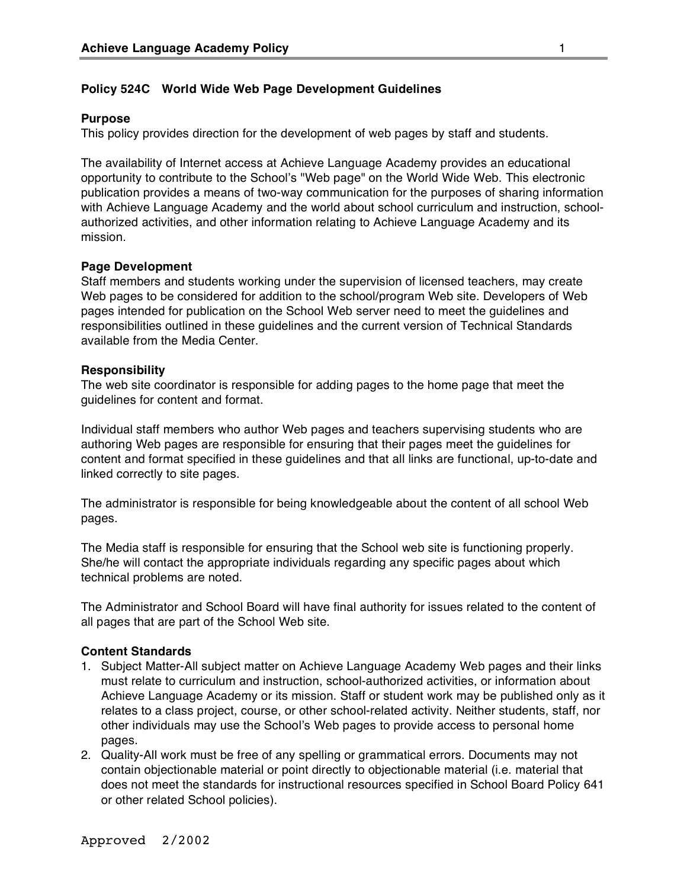# **Policy 524C World Wide Web Page Development Guidelines**

### **Purpose**

This policy provides direction for the development of web pages by staff and students.

The availability of Internet access at Achieve Language Academy provides an educational opportunity to contribute to the School's "Web page" on the World Wide Web. This electronic publication provides a means of two-way communication for the purposes of sharing information with Achieve Language Academy and the world about school curriculum and instruction, schoolauthorized activities, and other information relating to Achieve Language Academy and its mission.

### **Page Development**

Staff members and students working under the supervision of licensed teachers, may create Web pages to be considered for addition to the school/program Web site. Developers of Web pages intended for publication on the School Web server need to meet the guidelines and responsibilities outlined in these guidelines and the current version of Technical Standards available from the Media Center.

#### **Responsibility**

The web site coordinator is responsible for adding pages to the home page that meet the guidelines for content and format.

Individual staff members who author Web pages and teachers supervising students who are authoring Web pages are responsible for ensuring that their pages meet the guidelines for content and format specified in these guidelines and that all links are functional, up-to-date and linked correctly to site pages.

The administrator is responsible for being knowledgeable about the content of all school Web pages.

The Media staff is responsible for ensuring that the School web site is functioning properly. She/he will contact the appropriate individuals regarding any specific pages about which technical problems are noted.

The Administrator and School Board will have final authority for issues related to the content of all pages that are part of the School Web site.

#### **Content Standards**

- 1. Subject Matter-All subject matter on Achieve Language Academy Web pages and their links must relate to curriculum and instruction, school-authorized activities, or information about Achieve Language Academy or its mission. Staff or student work may be published only as it relates to a class project, course, or other school-related activity. Neither students, staff, nor other individuals may use the School's Web pages to provide access to personal home pages.
- 2. Quality-All work must be free of any spelling or grammatical errors. Documents may not contain objectionable material or point directly to objectionable material (i.e. material that does not meet the standards for instructional resources specified in School Board Policy 641 or other related School policies).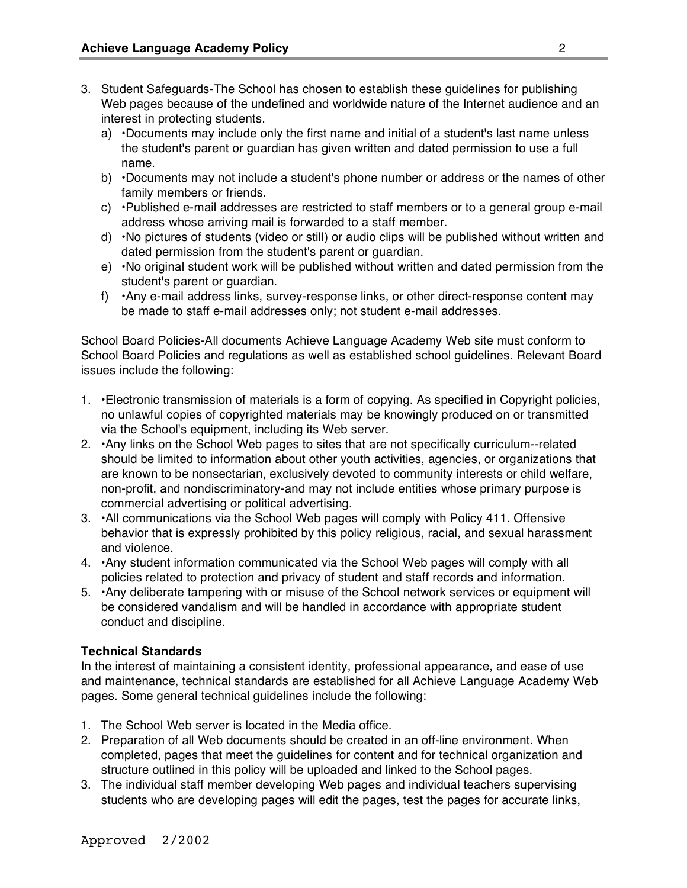- 3. Student Safeguards-The School has chosen to establish these guidelines for publishing Web pages because of the undefined and worldwide nature of the Internet audience and an interest in protecting students.
	- a) •Documents may include only the first name and initial of a student's last name unless the student's parent or guardian has given written and dated permission to use a full name.
	- b) •Documents may not include a student's phone number or address or the names of other family members or friends.
	- c) •Published e-mail addresses are restricted to staff members or to a general group e-mail address whose arriving mail is forwarded to a staff member.
	- d) •No pictures of students (video or still) or audio clips will be published without written and dated permission from the student's parent or guardian.
	- e) •No original student work will be published without written and dated permission from the student's parent or guardian.
	- f) •Any e-mail address links, survey-response links, or other direct-response content may be made to staff e-mail addresses only; not student e-mail addresses.

School Board Policies-All documents Achieve Language Academy Web site must conform to School Board Policies and regulations as well as established school guidelines. Relevant Board issues include the following:

- 1. •Electronic transmission of materials is a form of copying. As specified in Copyright policies, no unlawful copies of copyrighted materials may be knowingly produced on or transmitted via the School's equipment, including its Web server.
- 2. •Any links on the School Web pages to sites that are not specifically curriculum--related should be limited to information about other youth activities, agencies, or organizations that are known to be nonsectarian, exclusively devoted to community interests or child welfare, non-profit, and nondiscriminatory-and may not include entities whose primary purpose is commercial advertising or political advertising.
- 3. •All communications via the School Web pages will comply with Policy 411. Offensive behavior that is expressly prohibited by this policy religious, racial, and sexual harassment and violence.
- 4. •Any student information communicated via the School Web pages will comply with all policies related to protection and privacy of student and staff records and information.
- 5. •Any deliberate tampering with or misuse of the School network services or equipment will be considered vandalism and will be handled in accordance with appropriate student conduct and discipline.

# **Technical Standards**

In the interest of maintaining a consistent identity, professional appearance, and ease of use and maintenance, technical standards are established for all Achieve Language Academy Web pages. Some general technical guidelines include the following:

- 1. The School Web server is located in the Media office.
- 2. Preparation of all Web documents should be created in an off-line environment. When completed, pages that meet the guidelines for content and for technical organization and structure outlined in this policy will be uploaded and linked to the School pages.
- 3. The individual staff member developing Web pages and individual teachers supervising students who are developing pages will edit the pages, test the pages for accurate links,